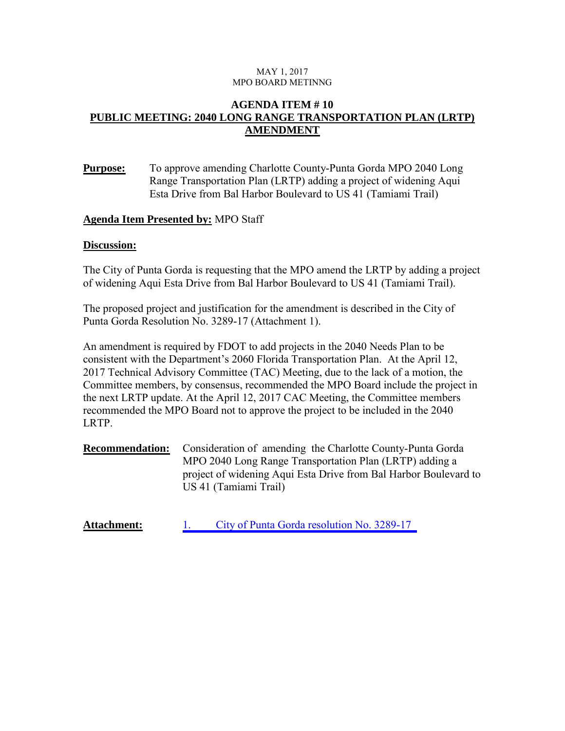#### MAY 1, 2017 MPO BOARD METINNG

### **AGENDA ITEM # 10 PUBLIC MEETING: 2040 LONG RANGE TRANSPORTATION PLAN (LRTP) AMENDMENT**

**Purpose:** To approve amending Charlotte County-Punta Gorda MPO 2040 Long Range Transportation Plan (LRTP) adding a project of widening Aqui Esta Drive from Bal Harbor Boulevard to US 41 (Tamiami Trail)

### **Agenda Item Presented by:** MPO Staff

#### **Discussion:**

The City of Punta Gorda is requesting that the MPO amend the LRTP by adding a project of widening Aqui Esta Drive from Bal Harbor Boulevard to US 41 (Tamiami Trail).

The proposed project and justification for the amendment is described in the City of Punta Gorda Resolution No. 3289-17 (Attachment 1).

An amendment is required by FDOT to add projects in the 2040 Needs Plan to be consistent with the Department's 2060 Florida Transportation Plan. At the April 12, 2017 Technical Advisory Committee (TAC) Meeting, due to the lack of a motion, the Committee members, by consensus, recommended the MPO Board include the project in the next LRTP update. At the April 12, 2017 CAC Meeting, the Committee members recommended the MPO Board not to approve the project to be included in the 2040 LRTP.

**Recommendation:** Consideration of amending the Charlotte County-Punta Gorda MPO 2040 Long Range Transportation Plan (LRTP) adding a project of widening Aqui Esta Drive from Bal Harbor Boulevard to US 41 (Tamiami Trail)

Attachment: 1. [City of Punta Gorda resolution No. 3289-17](www.ccmpo.com/wp/attachments/article/May%201,%202017/Attachment%2010.pdf)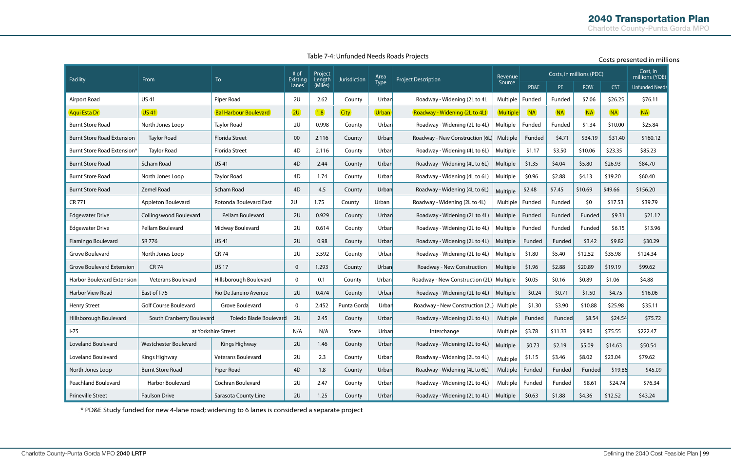**Table 7-4: Unfunded Needs Roads Projects**

| Facility                          | From                         | To                           | # of<br><b>Existing</b><br>Lanes | Project<br>Length<br>(Miles) | Jurisdiction | Area<br>Type | <b>Project Description</b>      | Revenue<br>Source | Costs, in millions (PDC) |           |            |            | Cost, in<br>millions (YOE) |
|-----------------------------------|------------------------------|------------------------------|----------------------------------|------------------------------|--------------|--------------|---------------------------------|-------------------|--------------------------|-----------|------------|------------|----------------------------|
|                                   |                              |                              |                                  |                              |              |              |                                 |                   | PD&E                     | PE        | <b>ROW</b> | <b>CST</b> | <b>Unfunded Needs</b>      |
| <b>Airport Road</b>               | <b>US41</b>                  | Piper Road                   | 2U                               | 2.62                         | County       | Urban        | Roadway - Widening (2L to 4L    | Multiple          | Funded                   | Funded    | \$7.06     | \$26.25    | \$76.11                    |
| Aqui Esta Dr                      | <b>US41</b>                  | <b>Bal Harbour Boulevard</b> | 2U                               | (1.8)                        | <b>City</b>  | <b>Urban</b> | Roadway - Widening (2L to 4L)   | <b>Multiple</b>   | <b>NA</b>                | <b>NA</b> | <b>NA</b>  | NA         | <b>NA</b>                  |
| <b>Burnt Store Road</b>           | North Jones Loop             | <b>Taylor Road</b>           | 2U                               | 0.998                        | County       | Urban        | Roadway - Widening (2L to 4L)   | Multiple          | Funded                   | Funded    | \$1.34     | \$10.00    | \$25.84                    |
| <b>Burnt Store Road Extension</b> | <b>Taylor Road</b>           | <b>Florida Street</b>        | 00                               | 2.116                        | County       | Urban        | Roadway - New Construction (6L) | Multiple          | Funded                   | \$4.71    | \$34.19    | \$31.40    | \$160.12                   |
| Burnt Store Road Extension*       | <b>Taylor Road</b>           | Florida Street               | 4D                               | 2.116                        | County       | Urban        | Roadway - Widening (4L to 6L)   | Multiple          | \$1.17                   | \$3.50    | \$10.06    | \$23.35    | \$85.23                    |
| <b>Burnt Store Road</b>           | Scham Road                   | <b>US41</b>                  | 4D                               | 2.44                         | County       | Urban        | Roadway - Widening (4L to 6L)   | Multiple          | \$1.35                   | \$4.04    | \$5.80     | \$26.93    | \$84.70                    |
| <b>Burnt Store Road</b>           | North Jones Loop             | <b>Taylor Road</b>           | 4D                               | 1.74                         | County       | Urban        | Roadway - Widening (4L to 6L)   | Multiple          | \$0.96                   | \$2.88    | \$4.13     | \$19.20    | \$60.40                    |
| <b>Burnt Store Road</b>           | <b>Zemel Road</b>            | Scham Road                   | 4D                               | 4.5                          | County       | Urban        | Roadway - Widening (4L to 6L)   | Multiple          | \$2.48                   | \$7.45    | \$10.69    | \$49.66    | \$156.20                   |
| CR 771                            | Appleton Boulevard           | Rotonda Boulevard East       | 2U                               | 1.75                         | County       | Urban        | Roadway - Widening (2L to 4L)   | Multiple          | Funded                   | Funded    | \$0        | \$17.53    | \$39.79                    |
| <b>Edgewater Drive</b>            | Collingswood Boulevard       | Pellam Boulevard             | 2U                               | 0.929                        | County       | Urban        | Roadway - Widening (2L to 4L)   | Multiple          | Funded                   | Funded    | Funded     | \$9.31     | \$21.12                    |
| <b>Edgewater Drive</b>            | Pellam Boulevard             | Midway Boulevard             | 2U                               | 0.614                        | County       | Urban        | Roadway - Widening (2L to 4L)   | Multiple          | Funded                   | Funded    | Funded     | \$6.15     | \$13.96                    |
| Flamingo Boulevard                | SR 776                       | <b>US41</b>                  | 2U                               | 0.98                         | County       | Urban        | Roadway - Widening (2L to 4L)   | Multiple          | Funded                   | Funded    | \$3.42     | \$9.82     | \$30.29                    |
| Grove Boulevard                   | North Jones Loop             | <b>CR 74</b>                 | 2U                               | 3.592                        | County       | Urban        | Roadway - Widening (2L to 4L)   | Multiple          | \$1.80                   | \$5.40    | \$12.52    | \$35.98    | \$124.34                   |
| <b>Grove Boulevard Extension</b>  | <b>CR74</b>                  | <b>US17</b>                  | $\mathbf 0$                      | 1.293                        | County       | Urban        | Roadway - New Construction      | Multiple          | \$1.96                   | \$2.88    | \$20.89    | \$19.19    | \$99.62                    |
| Harbor Boulevard Extension        | Veterans Boulevard           | Hillsborough Boulevard       | $\mathbf 0$                      | 0.1                          | County       | Urban        | Roadway - New Construction (2L) | Multiple          | \$0.05                   | \$0.16    | \$0.89     | \$1.06     | \$4.88                     |
| Harbor View Road                  | East of I-75                 | Rio De Janeiro Avenue        | 2U                               | 0.474                        | County       | Urban        | Roadway - Widening (2L to 4L)   | Multiple          | \$0.24                   | \$0.71    | \$1.50     | \$4.75     | \$16.06                    |
| <b>Henry Street</b>               | <b>Golf Course Boulevard</b> | Grove Boulevard              | 0                                | 2.452                        | Punta Gorda  | Urban        | Roadway - New Construction (2L) | Multiple          | \$1.30                   | \$3.90    | \$10.88    | \$25.98    | \$35.11                    |
| Hillsborough Boulevard            | South Cranberry Boulevard    | Toledo Blade Boulevard       | 2U                               | 2.45                         | County       | Urban        | Roadway - Widening (2L to 4L)   | Multiple          | Funded                   | Funded    | \$8.54     | \$24.54    | \$75.72                    |
| $I-75$                            | at Yorkshire Street          |                              | N/A                              | N/A                          | State        | Urban        | Interchange                     | Multiple          | \$3.78                   | \$11.33   | \$9.80     | \$75.55    | \$222.47                   |
| Loveland Boulevard                | Westchester Boulevard        | Kings Highway                | 2U                               | 1.46                         | County       | Urban        | Roadway - Widening (2L to 4L)   | Multiple          | \$0.73                   | \$2.19    | \$5.09     | \$14.63    | \$50.54                    |
| Loveland Boulevard                | Kings Highway                | Veterans Boulevard           | 2U                               | 2.3                          | County       | Urban        | Roadway - Widening (2L to 4L)   | Multiple          | \$1.15                   | \$3.46    | \$8.02     | \$23.04    | \$79.62                    |
| North Jones Loop                  | <b>Burnt Store Road</b>      | Piper Road                   | 4D                               | 1.8                          | County       | Urban        | Roadway - Widening (4L to 6L)   | Multiple          | Funded                   | Funded    | Funded     | \$19.86    | \$45.09                    |
| <b>Peachland Boulevard</b>        | Harbor Boulevard             | Cochran Boulevard            | 2U                               | 2.47                         | County       | Urban        | Roadway - Widening (2L to 4L)   | Multiple          | Funded                   | Funded    | \$8.61     | \$24.74    | \$76.34                    |
| <b>Prineville Street</b>          | Paulson Drive                | Sarasota County Line         | 2U                               | 1.25                         | County       | Urban        | Roadway - Widening (2L to 4L)   | Multiple          | \$0.63                   | \$1.88    | \$4.36     | \$12.52    | \$43.24                    |

### Costs presented in millions

\* PD&E Study funded for new 4-lane road; widening to 6 lanes is considered a separate project